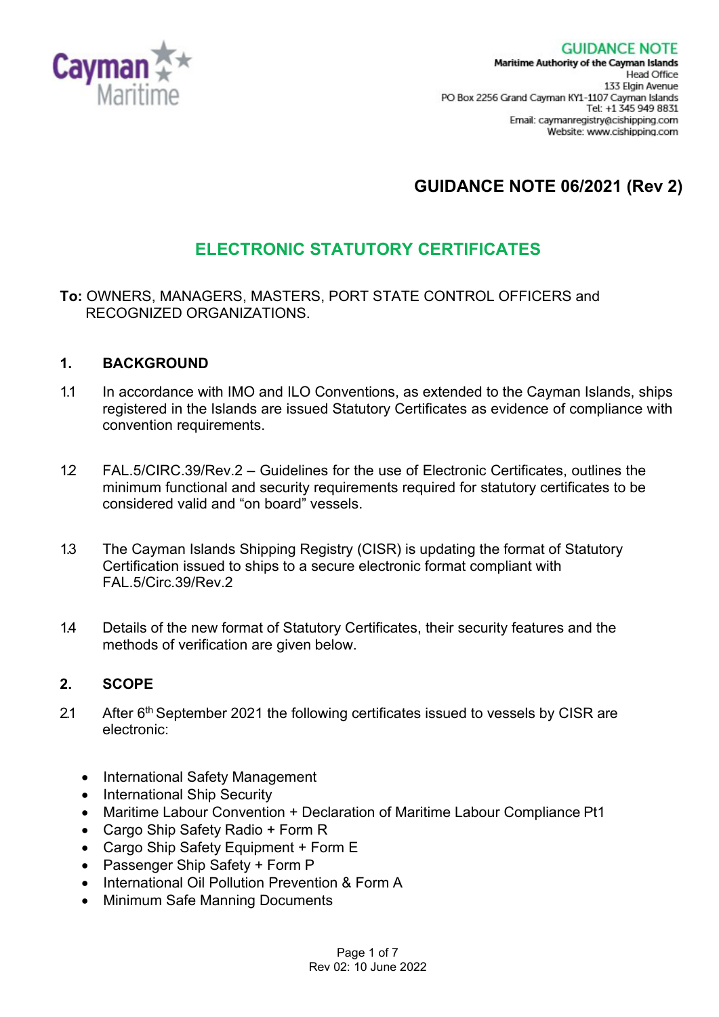

# **GUIDANCE NOTE 06/2021 (Rev 2)**

## **ELECTRONIC STATUTORY CERTIFICATES**

#### **To:** OWNERS, MANAGERS, MASTERS, PORT STATE CONTROL OFFICERS and RECOGNIZED ORGANIZATIONS.

#### **1. BACKGROUND**

- 1.1 In accordance with IMO and ILO Conventions, as extended to the Cayman Islands, ships registered in the Islands are issued Statutory Certificates as evidence of compliance with convention requirements.
- 1.2 FAL.5/CIRC.39/Rev.2 Guidelines for the use of Electronic Certificates, outlines the minimum functional and security requirements required for statutory certificates to be considered valid and "on board" vessels.
- 1.3 The Cayman Islands Shipping Registry (CISR) is updating the format of Statutory Certification issued to ships to a secure electronic format compliant with FAL.5/Circ.39/Rev.2
- 1.4 Details of the new format of Statutory Certificates, their security features and the methods of verification are given below.

#### **2. SCOPE**

- 2.1 After 6<sup>th</sup> September 2021 the following certificates issued to vessels by CISR are electronic:
	- International Safety Management
	- International Ship Security
	- Maritime Labour Convention + Declaration of Maritime Labour Compliance Pt1
	- Cargo Ship Safety Radio + Form R
	- Cargo Ship Safety Equipment + Form E
	- Passenger Ship Safety + Form P
	- International Oil Pollution Prevention & Form A
	- Minimum Safe Manning Documents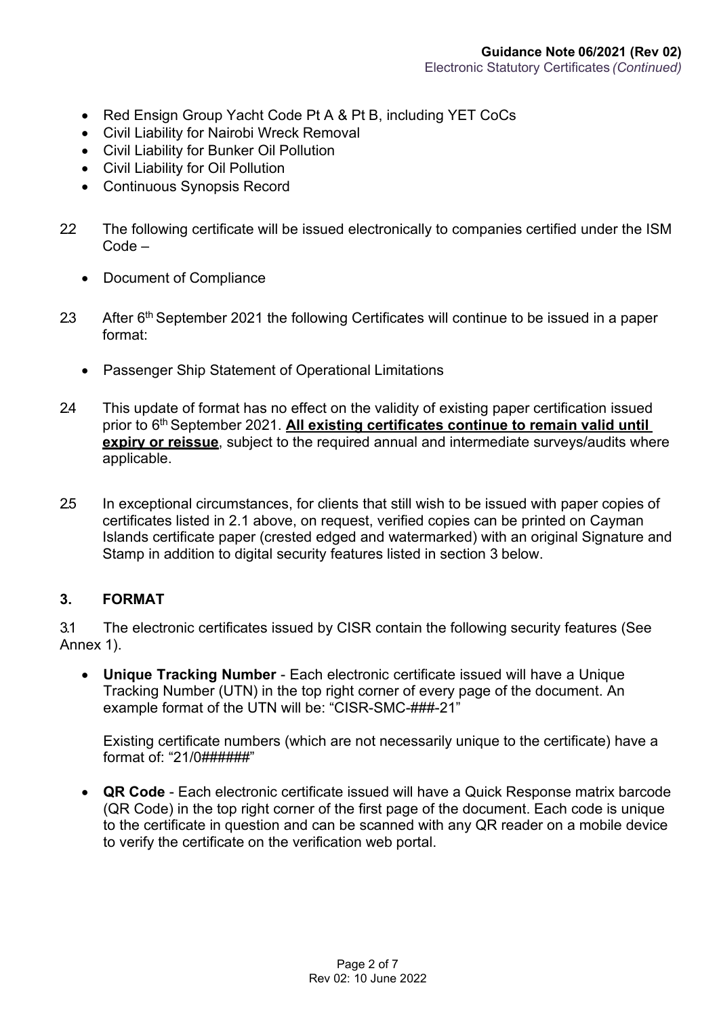- Red Ensign Group Yacht Code Pt A & Pt B, including YET CoCs
- Civil Liability for Nairobi Wreck Removal
- Civil Liability for Bunker Oil Pollution
- Civil Liability for Oil Pollution
- Continuous Synopsis Record
- 2.2 The following certificate will be issued electronically to companies certified under the ISM Code –
	- Document of Compliance
- 2.3 After 6<sup>th</sup> September 2021 the following Certificates will continue to be issued in a paper format:
	- Passenger Ship Statement of Operational Limitations
- 2.4 This update of format has no effect on the validity of existing paper certification issued prior to 6th September 2021. **All existing certificates continue to remain valid until expiry or reissue**, subject to the required annual and intermediate surveys/audits where applicable.
- 2.5 In exceptional circumstances, for clients that still wish to be issued with paper copies of certificates listed in 2.1 above, on request, verified copies can be printed on Cayman Islands certificate paper (crested edged and watermarked) with an original Signature and Stamp in addition to digital security features listed in section 3 below.

#### **3. FORMAT**

3.1 The electronic certificates issued by CISR contain the following security features (See Annex 1).

• **Unique Tracking Number** - Each electronic certificate issued will have a Unique Tracking Number (UTN) in the top right corner of every page of the document. An example format of the UTN will be: "CISR-SMC-###-21"

Existing certificate numbers (which are not necessarily unique to the certificate) have a format of: "21/0######"

• **QR Code** - Each electronic certificate issued will have a Quick Response matrix barcode (QR Code) in the top right corner of the first page of the document. Each code is unique to the certificate in question and can be scanned with any QR reader on a mobile device to verify the certificate on the verification web portal.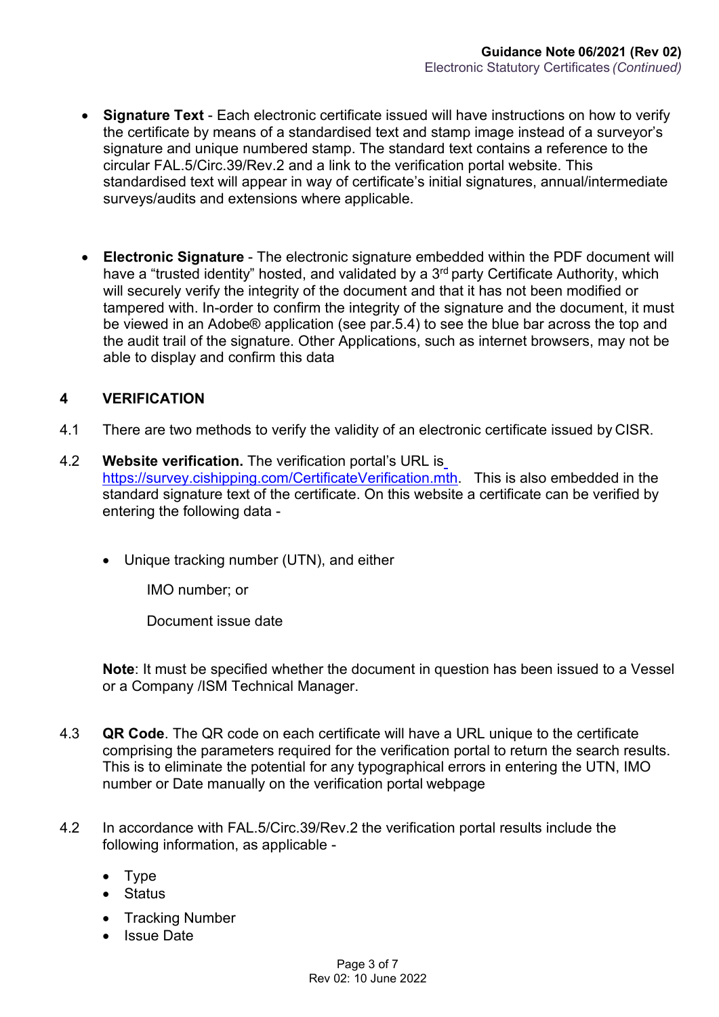- **Signature Text**  Each electronic certificate issued will have instructions on how to verify the certificate by means of a standardised text and stamp image instead of a surveyor's signature and unique numbered stamp. The standard text contains a reference to the circular FAL.5/Circ.39/Rev.2 and a link to the verification portal website. This standardised text will appear in way of certificate's initial signatures, annual/intermediate surveys/audits and extensions where applicable.
- **Electronic Signature**  The electronic signature embedded within the PDF document will have a "trusted identity" hosted, and validated by a 3<sup>rd</sup> party Certificate Authority, which will securely verify the integrity of the document and that it has not been modified or tampered with. In-order to confirm the integrity of the signature and the document, it must be viewed in an Adobe® application (see par.5.4) to see the blue bar across the top and the audit trail of the signature. Other Applications, such as internet browsers, may not be able to display and confirm this data

#### **4 VERIFICATION**

- 4.1 There are two methods to verify the validity of an electronic certificate issued by CISR.
- 4.2 **Website verification.** The verification portal's URL is [https://survey.cishipping.com/CertificateVerification.mth.](https://survey.cishipping.com/CertificateVerification.mth) This is also embedded in the standard signature text of the certificate. On this website a certificate can be verified by entering the following data -
	- Unique tracking number (UTN), and either

IMO number; or

Document issue date

**Note**: It must be specified whether the document in question has been issued to a Vessel or a Company /ISM Technical Manager.

- 4.3 **QR Code**. The QR code on each certificate will have a URL unique to the certificate comprising the parameters required for the verification portal to return the search results. This is to eliminate the potential for any typographical errors in entering the UTN, IMO number or Date manually on the verification portal webpage
- 4.2 In accordance with FAL.5/Circ.39/Rev.2 the verification portal results include the following information, as applicable -
	- Type
	- Status
	- Tracking Number
	- Issue Date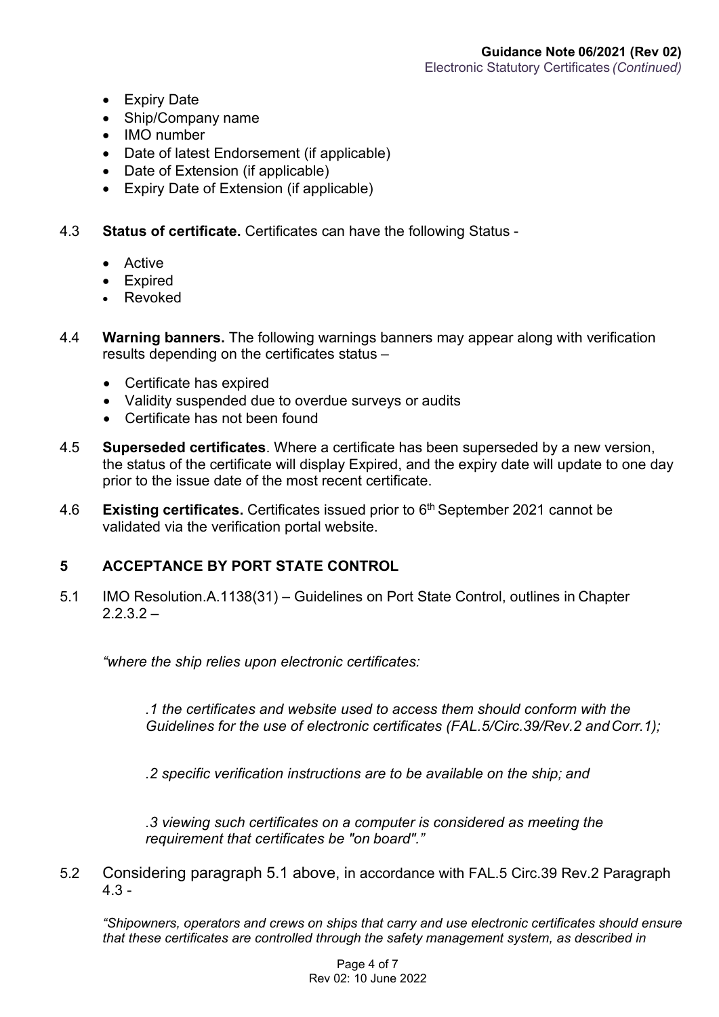- Expiry Date
- Ship/Company name
- IMO number
- Date of latest Endorsement (if applicable)
- Date of Extension (if applicable)
- Expiry Date of Extension (if applicable)
- 4.3 **Status of certificate.** Certificates can have the following Status
	- Active
	- Expired
	- **Revoked**
- 4.4 **Warning banners.** The following warnings banners may appear along with verification results depending on the certificates status –
	- Certificate has expired
	- Validity suspended due to overdue surveys or audits
	- Certificate has not been found
- 4.5 **Superseded certificates**. Where a certificate has been superseded by a new version, the status of the certificate will display Expired, and the expiry date will update to one day prior to the issue date of the most recent certificate.
- 4.6 **Existing certificates.** Certificates issued prior to 6th September 2021 cannot be validated via the verification portal website.

#### **5 ACCEPTANCE BY PORT STATE CONTROL**

5.1 IMO Resolution.A.1138(31) – Guidelines on Port State Control, outlines in Chapter  $2.2.3.2 -$ 

*"where the ship relies upon electronic certificates:*

*.1 the certificates and website used to access them should conform with the Guidelines for the use of electronic certificates (FAL.5/Circ.39/Rev.2 andCorr.1);*

*.2 specific verification instructions are to be available on the ship; and*

*.3 viewing such certificates on a computer is considered as meeting the requirement that certificates be "on board"."*

5.2 Considering paragraph 5.1 above, in accordance with FAL.5 Circ.39 Rev.2 Paragraph 4.3 -

*"Shipowners, operators and crews on ships that carry and use electronic certificates should ensure that these certificates are controlled through the safety management system, as described in*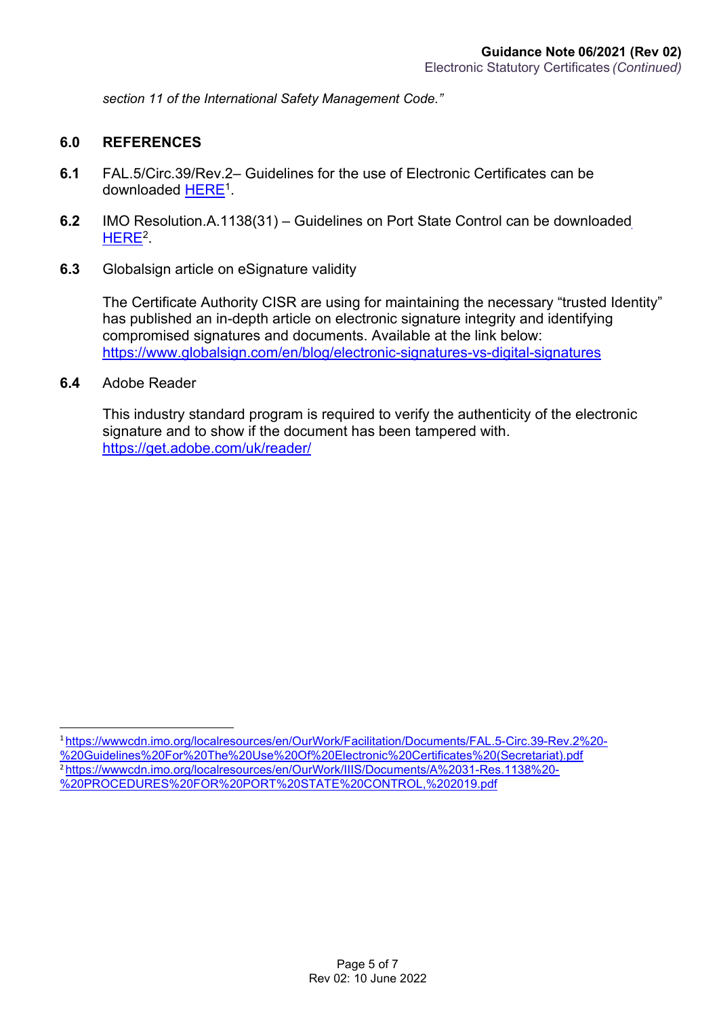*section 11 of the International Safety Management Code."*

#### **6.0 REFERENCES**

- **6.1** FAL.5/Circ.39/Rev.2– Guidelines for the use of Electronic Certificates can be downloaded [HERE](https://wwwcdn.imo.org/localresources/en/OurWork/Facilitation/Documents/FAL.5-Circ.39-Rev.2%20-%20Guidelines%20For%20The%20Use%20Of%20Electronic%20Certificates%20(Secretariat).pdf)[1.](#page-4-0)
- **6.2** IMO Resolution.A.1138(31) Guidelines on Port State Control can be downloaded [HERE](https://wwwcdn.imo.org/localresources/en/OurWork/IIIS/Documents/A%2031-Res.1138%20-%20PROCEDURES%20FOR%20PORT%20STATE%20CONTROL%2C%202019.pdf)<sup>2</sup>.
- **6.3** Globalsign article on eSignature validity

The Certificate Authority CISR are using for maintaining the necessary "trusted Identity" has published an in-depth article on electronic signature integrity and identifying compromised signatures and documents. Available at the link below: <https://www.globalsign.com/en/blog/electronic-signatures-vs-digital-signatures>

**6.4** Adobe Reader

This industry standard program is required to verify the authenticity of the electronic signature and to show if the document has been tampered with. <https://get.adobe.com/uk/reader/>

<span id="page-4-1"></span><span id="page-4-0"></span><sup>1</sup>[https://wwwcdn.imo.org/localresources/en/OurWork/Facilitation/Documents/FAL.5-Circ.39-Rev.2%20-](https://wwwcdn.imo.org/localresources/en/OurWork/Facilitation/Documents/FAL.5-Circ.39-Rev.2%20-%20Guidelines%20For%20The%20Use%20Of%20Electronic%20Certificates%20(Secretariat).pdf) [%20Guidelines%20For%20The%20Use%20Of%20Electronic%20Certificates%20\(Secretariat\).pdf](https://wwwcdn.imo.org/localresources/en/OurWork/Facilitation/Documents/FAL.5-Circ.39-Rev.2%20-%20Guidelines%20For%20The%20Use%20Of%20Electronic%20Certificates%20(Secretariat).pdf) <sup>2</sup>[https://wwwcdn.imo.org/localresources/en/OurWork/IIIS/Documents/A%2031-Res.1138%20-](https://wwwcdn.imo.org/localresources/en/OurWork/IIIS/Documents/A%2031-Res.1138%20-%20PROCEDURES%20FOR%20PORT%20STATE%20CONTROL%2C%202019.pdf) [%20PROCEDURES%20FOR%20PORT%20STATE%20CONTROL,%202019.pdf](https://wwwcdn.imo.org/localresources/en/OurWork/IIIS/Documents/A%2031-Res.1138%20-%20PROCEDURES%20FOR%20PORT%20STATE%20CONTROL%2C%202019.pdf)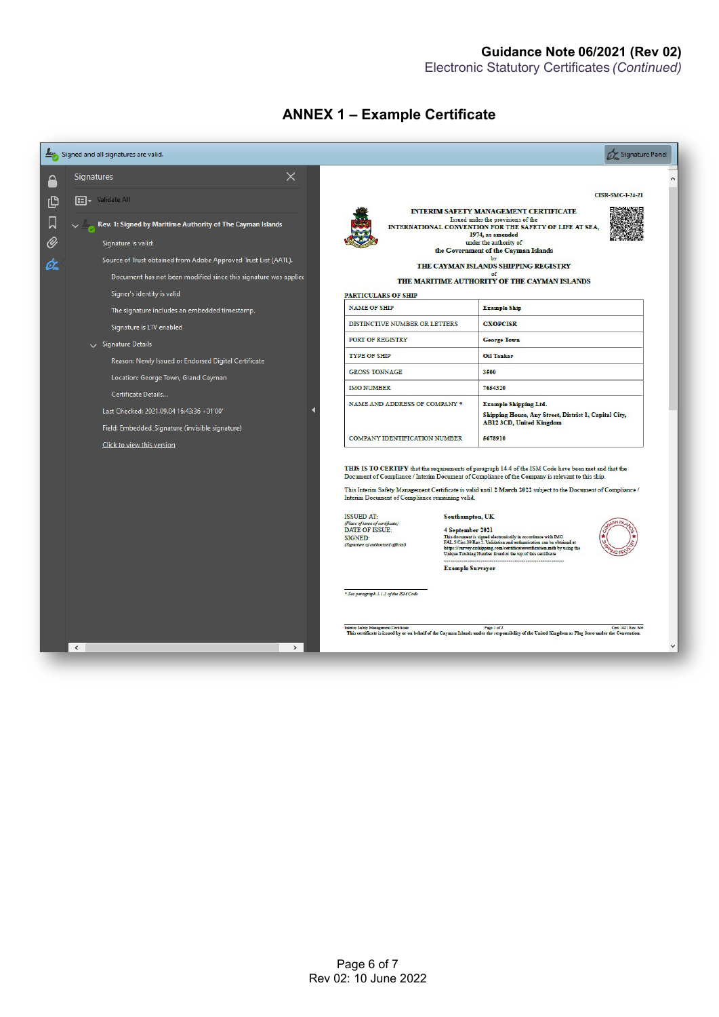#### **ANNEX 1 – Example Certificate**